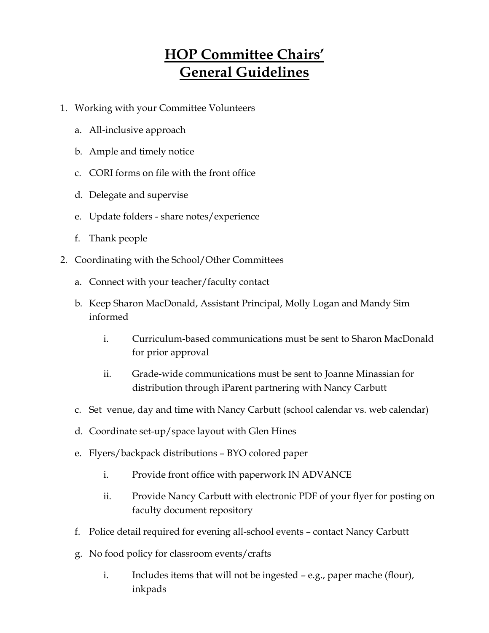## **HOP Committee Chairs' General Guidelines**

- 1. Working with your Committee Volunteers
	- a. All-inclusive approach
	- b. Ample and timely notice
	- c. CORI forms on file with the front office
	- d. Delegate and supervise
	- e. Update folders share notes/experience
	- f. Thank people
- 2. Coordinating with the School/Other Committees
	- a. Connect with your teacher/faculty contact
	- b. Keep Sharon MacDonald, Assistant Principal, Molly Logan and Mandy Sim informed
		- i. Curriculum-based communications must be sent to Sharon MacDonald for prior approval
		- ii. Grade-wide communications must be sent to Joanne Minassian for distribution through iParent partnering with Nancy Carbutt
	- c. Set venue, day and time with Nancy Carbutt (school calendar vs. web calendar)
	- d. Coordinate set-up/space layout with Glen Hines
	- e. Flyers/backpack distributions BYO colored paper
		- i. Provide front office with paperwork IN ADVANCE
		- ii. Provide Nancy Carbutt with electronic PDF of your flyer for posting on faculty document repository
	- f. Police detail required for evening all-school events contact Nancy Carbutt
	- g. No food policy for classroom events/crafts
		- i. Includes items that will not be ingested e.g., paper mache (flour), inkpads